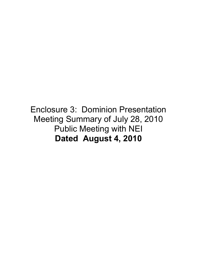#### Enclosure 3: Dominion Presentation Meeting Summary of July 28, 2010 Public Meeting with NEI **Dated August 4, 2010**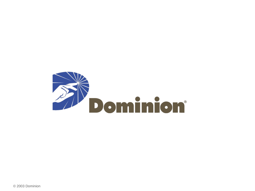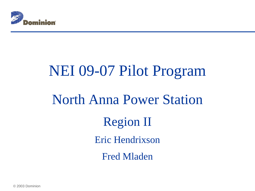

# NEI 09-07 Pilot Program North Anna Power Station Region II Eric Hendrixson Fred Mladen

© 2003 Dominion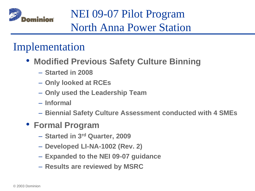

#### Implementation

- **Modified Previous Safety Culture Binning**
	- **Started in 2008**
	- **Only looked at RCEs**
	- **Only used the Leadership Team**
	- **Informal**
	- **Biennial Safety Culture Assessment conducted with 4 SMEs**
- **Formal Program** 
	- **Started in 3rd Quarter, 2009**
	- **Developed LI-NA-1002 (Rev. 2)**
	- **Expanded to the NEI 09-07 guidance**
	- **Results are reviewed by MSRC**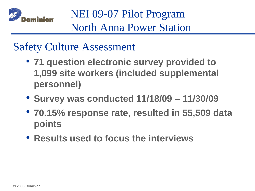

#### Safety Culture Assessment

- **71 question electronic survey provided to 1,099 site workers (included supplemental personnel)**
- **Survey was conducted 11/18/09 – 11/30/09**
- **70.15% response rate, resulted in 55,509 data points**
- **Results used to focus the interviews**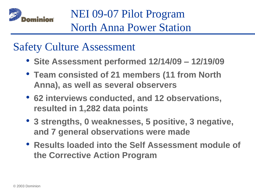

#### Safety Culture Assessment

- **Site Assessment performed 12/14/09 – 12/19/09**
- **Team consisted of 21 members (11 from North Anna), as well as several observers**
- **62 interviews conducted, and 12 observations, resulted in 1,282 data points**
- **3 strengths, 0 weaknesses, 5 positive, 3 negative, and 7 general observations were made**
- **Results loaded into the Self Assessment module of the Corrective Action Program**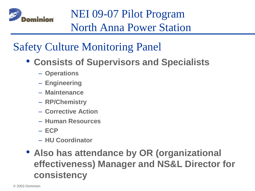

#### Safety Culture Monitoring Panel

- **Consists of Supervisors and Specialists**
	- **Operations**
	- **Engineering**
	- **Maintenance**
	- **RP/Chemistry**
	- **Corrective Action**
	- **Human Resources**
	- **ECP**
	- **HU Coordinator**

#### • **Also has attendance by OR (organizational effectiveness) Manager and NS&L Director for consistency**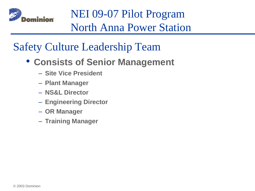

#### Safety Culture Leadership Team

- **Consists of Senior Management**
	- **Site Vice President**
	- **Plant Manager**
	- **NS&L Director**
	- **Engineering Director**
	- **OR Manager**
	- **Training Manager**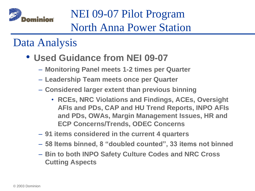

#### Data Analysis

- **Used Guidance from NEI 09-07**
	- **Monitoring Panel meets 1-2 times per Quarter**
	- **Leadership Team meets once per Quarter**
	- **Considered larger extent than previous binning**
		- **RCEs, NRC Violations and Findings, ACEs, Oversight AFIs and PDs, CAP and HU Trend Reports, INPO AFIs and PDs, OWAs, Margin Management Issues, HR and ECP Concerns/Trends, ODEC Concerns**
	- **91 items considered in the current 4 quarters**
	- **58 Items binned, 8 "doubled counted", 33 items not binned**
	- **Bin to both INPO Safety Culture Codes and NRC Cross Cutting Aspects**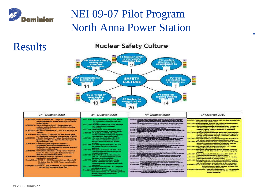

#### **Results**

#### Nuclear Safety Culture



nt cum

me<br>mint  $-114$ 

 $-14$ 

dope suri

und in diolate

s bilikbia

**REFERENCE** 

| 2 <sup>nd</sup> Quarter 2009                                                                                                                                                                                                                                                                                                                                                                                                                                                                                                                                                                                                                                                                                                                                                                                                                                                                                                                                                                                                                                                                                                                                                                                                                                                                                                                                                                                      | 3rd Quarter 2009                                                                                                                                                                                                                                                                                                                                                                                                                                                                                                                                                                                                                                                                                                                                                                                                                                                                                                                                                                                                                                                                                                                                                                                                                                                                                                                                                               |
|-------------------------------------------------------------------------------------------------------------------------------------------------------------------------------------------------------------------------------------------------------------------------------------------------------------------------------------------------------------------------------------------------------------------------------------------------------------------------------------------------------------------------------------------------------------------------------------------------------------------------------------------------------------------------------------------------------------------------------------------------------------------------------------------------------------------------------------------------------------------------------------------------------------------------------------------------------------------------------------------------------------------------------------------------------------------------------------------------------------------------------------------------------------------------------------------------------------------------------------------------------------------------------------------------------------------------------------------------------------------------------------------------------------------|--------------------------------------------------------------------------------------------------------------------------------------------------------------------------------------------------------------------------------------------------------------------------------------------------------------------------------------------------------------------------------------------------------------------------------------------------------------------------------------------------------------------------------------------------------------------------------------------------------------------------------------------------------------------------------------------------------------------------------------------------------------------------------------------------------------------------------------------------------------------------------------------------------------------------------------------------------------------------------------------------------------------------------------------------------------------------------------------------------------------------------------------------------------------------------------------------------------------------------------------------------------------------------------------------------------------------------------------------------------------------------|
| RCHIODORO - Unit I Fast Lesbor, #5 - Design and Operating mangins<br>not carefully gearded, special attention paid to flasion.<br>postset harriers.<br>RC0000076-131-25-21 Houder Fire, 47 - There canaday act.<br>protesty and juride bedrets to identify conclusions:<br>anamics directories.<br>RCH200078 - "H" RSST Cable Failure, #7 - 2007 BCE did not go far<br><b>MARKET</b><br>AC1017455 - MCR Chiller CD Pamps did not must original space,<br>85 - Insdagasis engineering program product of an IEE.<br>AC10017466 - 1-DA-36 found open, 87 - Labort Constitutional error -<br>Operating procedure and Operator did not recognize the<br>insperiment of the task<br>AC1017479 - Containment grant phase found compled -<br>programmatic and organizational issues, 96: -<br>Engineering did not understand the technical sensote of<br>the Containment Liner phase.<br>AC10317482 - UI Containment sitherne activity reached stop work<br>lavale, 96 - Did not recognize that a shorter time to<br>Hand lift could lead to other instee.<br>AC1017499 - Individual full under HP Turkins, #4 - Workers<br>perceived the path to be sele.<br>Oversight lamp 09-002-N - CITCH Pressue not always followed, \$2 -<br>Bavinhous from the OSCII Process was allowed to<br><b>STARTON</b><br>Counsight API 09-015-N - FMII Weaknesses, #5 - Spacial attention to<br>PME not fully internalized by the staff. | ACESTMIA - Worker caused lamp to fall at open t<br>At -Workers distant consider word<br><b>Accounting</b><br>ACRESTER - No exclusioni guidease the 20 hole de-<br>- 85 - Kanton and and management<br>ment collected to<br>ACK17518 - Main Feat Inc. Value Standinger T<br>85 - Design margin not admirately a<br>ACENTROS - Castast leab on 1782) G - AS and A4<br>Decisions used ratioci aginty first my<br>of production or futuretal challenges<br>ACEI NII - Carrotan depositrificating 1-LO-E<br>47 - Mart be well informed of issues<br>learned those exercetive authors setze<br>circulation.<br>ALTESTANE - 1.PT-48 6 requires classification - MG-<br>and streation one of PCS for affectable.<br><b>Indication</b><br>ACRS 7506 - Task Qual List for Crane - 45 & #7 -<br>gast figures pressure to weak and do<br>adogustely including<br>ALCOHOL: 1-11M-F-10A/B capturi awachine foot<br>CIFF - 04 - Allowably and crashed ch<br>for control of visitim againment<br>ACKS 7713 - Newchys Trauf new it to Powing Des<br><b>THERE AWARDED - AS A 97-PANE</b><br><b>Dasign features not constituted or ade</b><br>maintained.<br>ACRETTOS (Pulling Dys.came off Chilis - #1 - Car<br>with worder expection.<br>Countable AVI 03-027-34 - Operational Dauboon &<br>Process Improvement - #2 - Heats for<br>decision on preparty domanamental ar-<br><b>CONTRACTORS</b> |

|  |  |  | 4th Quarter 2009 |  |  |
|--|--|--|------------------|--|--|
|--|--|--|------------------|--|--|

- itan i Kasan Lindera, Kasi Kadangar terk, kabutan AC (211) ( 28 mai 18 1927 tika Kerbanga<br>Pengara didapi mender Barola kadi Salam melay bebarat apat sa kadan di dasa melal rak
- .<br>Their Diffusions: They also be been all NP (\$8,000), all ... Thesing to be a set of 11 that since<br>Let you and that with the company of 100 million and hading, which cannot the Litt is book of the contract of the contract of
- 
- 
- . Waak Porte that Manual Progr. of a babylish an estimate of a last agr OE.<br>Waak'i AFI BI 1.1 by Note of Camp of Industries Periods of . Financial move p
- m di Jimaratana na pranola inay<br>mataira<br>mataira pintara talamini maille account au Roulant sannt d'orne des<br>Luis Picke (1995 Gastral Cataunaire - Al - Gi<br>Luis Picke Clauming an 1997 - Al Donne
- en de la comp
- 
- 
- <u> Tale</u>rman
- 
- and the first state of the first state of the state of the state of the state of the state of the state of the proced in high and any comm. All proc.
- or over 15 Separate plans business
- 
- <u> Librato L</u>

#### 1<sup>st</sup> Quarter 2010

-

- ACRI709-Woker several RRA under Groenest RRP Rt Bane prevention tools<br>were not used to their father send.
- 
- $\Lambda{\rm CS}$ 1799 Innanjalen malala inpution At Indikelive communication of appendixes for velocity procedure completes consigli if  $\Lambda{\rm CS}$  1998 Vendor Periodic procedure collection consigli if  $\Lambda{\rm CS}$  1998 Ven confibred creatige closely matemate to Makemani<br>- creatige of all matematic<br>ACE 1995 - SE ROG Echoe of Indian come procedurer sigles dealers
- 
- 
- 
- making reflects profess on allowable choices<br>ACE 18036 Fran schools (Frankryk) Fran Agent and South American Society<br>Transformer El AS Flast activities are generately high quality
- ACE 1898 Futun medianian Se Notze fast annaktier (NPO & 1971 19)<br>ACE 1898 Futun medianian Se Notze fast annaktier (NPO & 1971 19)
- 
- $\Delta$  CS 1999 Parties and counting angular an excelling gamble.<br>  $\Delta$  CS 1995 CS 1996 CS 1996 CS 1996 CS 1996 CS 1996 CS 1996 CS 1996 CS 1996 CS 1996 CS 1996 CS 1996 CS 1996 CS 1996 CS 1996 -
- -<br>NOD JUS 10-000,000,000-M Boris And Deput Analysis #7 The argustavism
- graids complaining and california a conlearning continuance.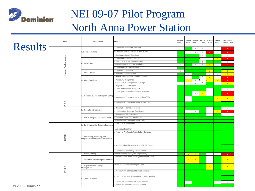

|                 | Area                    |  | Components                                                                           |                                                         |                                               | Aspects                                                               | 4th Qtr<br>2008 | 2009                    | 1st Qtr 2nd Qtr<br>2009 | 3rd Qtr<br>2009 | 4th Qtr<br>2009 | 1st Qtr<br>2010         | Running 4<br><b>Quarter Total</b> |
|-----------------|-------------------------|--|--------------------------------------------------------------------------------------|---------------------------------------------------------|-----------------------------------------------|-----------------------------------------------------------------------|-----------------|-------------------------|-------------------------|-----------------|-----------------|-------------------------|-----------------------------------|
| <b>Results</b>  |                         |  |                                                                                      |                                                         |                                               | a. Safety/Risk Significant Decisions                                  | $\overline{1}$  |                         | $\mathbf{1}$            | $\mathbf{1}$    | $\mathbf{1}$    | $\overline{1}$          | 4 <sup>1</sup>                    |
|                 |                         |  | . Decision Making                                                                    |                                                         |                                               | . Conservative Assumptions & Safe Actions                             |                 | $\overline{1}$          | $\mathbf{1}$            | $\mathbf{1}$    | -5              | $\mathbf{1}$            | $\mathbf{8}$                      |
|                 |                         |  |                                                                                      |                                                         |                                               | Communications of Decisions                                           |                 |                         |                         | $\mathbf{1}$    |                 |                         | $\mathbf{1}$                      |
|                 | Human Performance       |  |                                                                                      |                                                         |                                               | a. Proper Maintenance Programs                                        |                 |                         |                         |                 |                 | 2 <sup>2</sup>          | $\blacktriangle$                  |
|                 |                         |  |                                                                                      | b. Personnel Training & Qualifications                  |                                               |                                                                       |                 | $\overline{1}$          |                         |                 | $\overline{1}$  |                         |                                   |
|                 |                         |  | Resources                                                                            |                                                         |                                               | Complete Documentation & Labeling                                     | $\mathbf{1}$    |                         | $\overline{1}$          | $\mathbf{1}$    | $\sqrt{2}$      | $\overline{1}$          | -5                                |
|                 |                         |  |                                                                                      |                                                         |                                               | . Proper Facilities & Equipment                                       |                 |                         |                         |                 |                 |                         |                                   |
|                 |                         |  | <b>Work Control</b>                                                                  |                                                         |                                               | . Proper Work Planning                                                | $\overline{1}$  |                         |                         |                 | $\sqrt{2}$      |                         | 2 <sup>7</sup>                    |
|                 |                         |  |                                                                                      |                                                         |                                               | . Work Activity Coordination                                          |                 | $\overline{1}$          |                         |                 | $\overline{1}$  | $\overline{1}$          | $\overline{2}$                    |
|                 |                         |  |                                                                                      |                                                         |                                               | a. Human Performance & Error Prevention                               |                 | $\overline{1}$          |                         | 1               | 3 <sup>2</sup>  | $\mathbf{1}$            | 5 <sub>5</sub>                    |
|                 |                         |  | <b>Work Practices</b>                                                                |                                                         |                                               | b. Procedural Compliance                                              |                 | $\overline{2}$          | $\mathbf{1}$            |                 |                 | $\overline{\mathbf{3}}$ | 8                                 |
|                 |                         |  |                                                                                      |                                                         |                                               | Supervisory & Management Oversight                                    | $\mathbf{1}$    | $\mathbf{1}$            | $\mathbf{1}$            | $\mathbf{1}$    |                 | $\mathbf{1}$            | 3 <sup>°</sup>                    |
|                 |                         |  |                                                                                      |                                                         |                                               | a. Proper Issue Identification                                        |                 |                         |                         |                 |                 |                         |                                   |
|                 |                         |  |                                                                                      |                                                         |                                               | b. Trend Performance Using CAP                                        |                 |                         |                         |                 |                 |                         | $\mathbf{1}$                      |
|                 |                         |  |                                                                                      |                                                         |                                               | . Thorough Evaluation of Identified Problems                          |                 |                         | $\overline{1}$          | $\overline{2}$  | $\overline{1}$  |                         | $\overline{4}$                    |
|                 |                         |  | . Corrective Actions Program (CAP)                                                   |                                                         | d. Appropriate Timely Corrective Actions (CA) |                                                                       | $\overline{1}$  |                         |                         |                 | $\overline{2}$  | $\overline{2}$          |                                   |
|                 | $\simeq$<br>න්          |  |                                                                                      | e. Appropriate Timely Alternative CAP Process           |                                               |                                                                       |                 |                         |                         |                 |                 |                         |                                   |
|                 | $\overline{\mathbb{L}}$ |  |                                                                                      |                                                         |                                               | . Utilizing Operating Experiences                                     |                 |                         |                         |                 |                 |                         |                                   |
|                 |                         |  |                                                                                      | <b>Operating Experience</b>                             |                                               |                                                                       |                 |                         |                         |                 | $\overline{1}$  |                         | $\mathbf{1}$                      |
|                 |                         |  |                                                                                      |                                                         |                                               | . Implementing Operating Experience<br>L. Appropriate Self-Assessment |                 | $\mathbf{1}$            | $\mathbf{1}$            |                 | $\mathbf{1}$    | 2 <sup>2</sup>          | $\overline{4}$                    |
|                 |                         |  | 3. Self & Independent Assessment                                                     | . Track and Trend Safety Indicators                     |                                               |                                                                       |                 |                         | $\overline{1}$          |                 | $\mathbf{1}$    |                         |                                   |
|                 |                         |  |                                                                                      | . Coordinates & Communicates Results                    |                                               |                                                                       |                 |                         |                         |                 |                 |                         |                                   |
|                 |                         |  |                                                                                      |                                                         |                                               | a. Free Flow of Information                                           |                 |                         |                         |                 |                 |                         |                                   |
|                 |                         |  | <b>Environment for Raising Concerns</b>                                              |                                                         |                                               |                                                                       |                 |                         |                         |                 |                 |                         |                                   |
|                 |                         |  |                                                                                      |                                                         |                                               | . Alternative Free Flow                                               |                 |                         |                         |                 |                 |                         |                                   |
|                 | SCWE                    |  | 2. Preventing, Detecting, and<br>Mitigating Perceptions of Retaliation               |                                                         |                                               | a. Personnel Are Free to Raise Safety Concerns                        |                 |                         |                         |                 |                 |                         |                                   |
|                 |                         |  |                                                                                      |                                                         |                                               | b. Discrimination Claims Investigated & CA Taken                      |                 |                         |                         |                 |                 |                         |                                   |
|                 |                         |  |                                                                                      |                                                         |                                               | Appropriate Disciplinary Actions Taken                                |                 |                         |                         |                 |                 |                         |                                   |
|                 |                         |  |                                                                                      | Accountability                                          |                                               | Defined lines of authority and responsibility                         |                 | 3 <sup>1</sup>          | 2 <sup>7</sup>          |                 | $\mathbf{1}$    | $\overline{1}$          | 4 <sup>1</sup>                    |
|                 |                         |  | <b>Continuous Learning Environment</b><br><b>Organizational Change</b><br>Management |                                                         |                                               | icensee ensures that a learning environment exists.                   |                 | $\overline{\mathbf{3}}$ | $\overline{2}$          |                 | $\overline{1}$  |                         | $\overline{\mathbf{3}}$           |
|                 |                         |  |                                                                                      |                                                         |                                               | Systematic Process for change is used                                 |                 |                         |                         |                 | $\overline{2}$  |                         | $\overline{2}$                    |
|                 | <b>OTHER</b>            |  |                                                                                      |                                                         |                                               | a. Policies reinforce the right to raise concerns                     |                 |                         |                         |                 |                 |                         |                                   |
|                 |                         |  | <b>Safety Policies</b>                                                               | b. Personnel are effectively trained on safety policies |                                               |                                                                       |                 |                         |                         |                 |                 |                         |                                   |
|                 |                         |  |                                                                                      |                                                         |                                               | . Actions are consistent with safety policies                         |                 | $\overline{1}$          |                         |                 |                 | $\overline{1}$          | $\mathbf{1}$                      |
| © 2003 Dominion |                         |  |                                                                                      |                                                         |                                               | . policies are periodically communicated                              |                 |                         |                         |                 |                 |                         |                                   |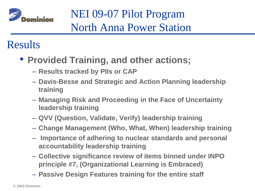

#### Results

- **Provided Training, and other actions;** 
	- **Results tracked by PIIs or CAP**
	- **Davis-Besse and Strategic and Action Planning leadership training**
	- **Managing Risk and Proceeding in the Face of Uncertainty leadership training**
	- **QVV (Question, Validate, Verify) leadership training**
	- **Change Management (Who, What, When) leadership training**
	- **Importance of adhering to nuclear standards and personal accountability leadership training**
	- **Collective significance review of items binned under INPO principle #7, (Organizational Learning is Embraced)**
	- **Passive Design Features training for the entire staff**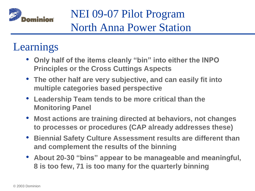

#### Learnings

- **Only half of the items cleanly "bin" into either the INPO Principles or the Cross Cuttings Aspects**
- **The other half are very subjective, and can easily fit into multiple categories based perspective**
- **Leadership Team tends to be more critical than the Monitoring Panel**
- **Most actions are training directed at behaviors, not changes to processes or procedures (CAP already addresses these)**
- **Biennial Safety Culture Assessment results are different than and complement the results of the binning**
- **About 20-30 "bins" appear to be manageable and meaningful, 8 is too few, 71 is too many for the quarterly binning**